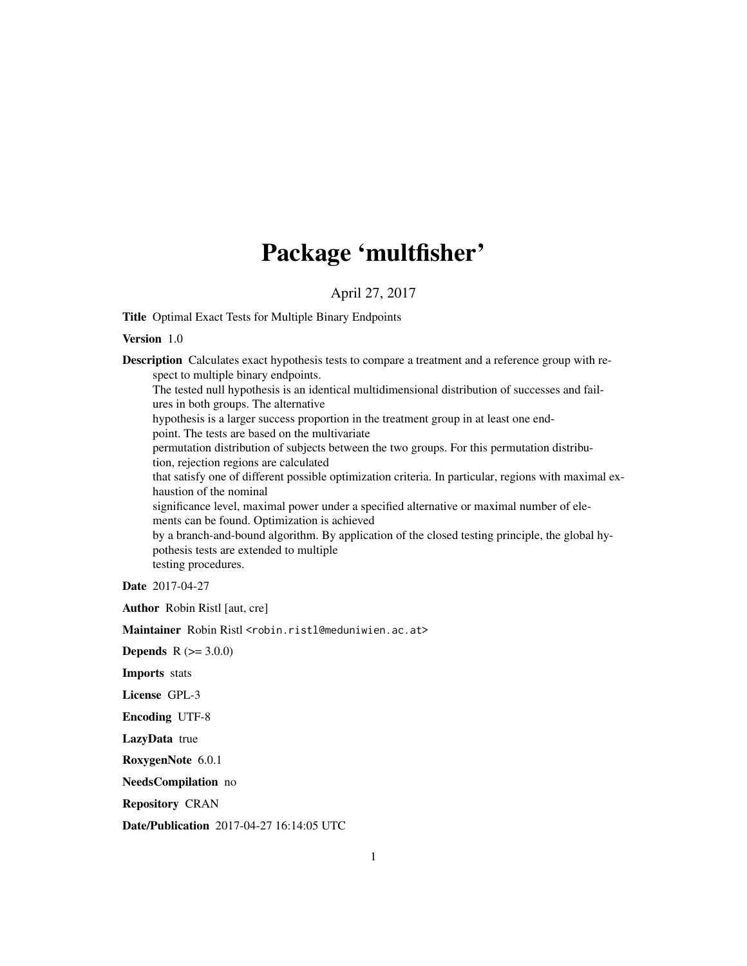## Package 'multfisher'

#### April 27, 2017

<span id="page-0-0"></span>Title Optimal Exact Tests for Multiple Binary Endpoints

#### Version 1.0

Description Calculates exact hypothesis tests to compare a treatment and a reference group with respect to multiple binary endpoints. The tested null hypothesis is an identical multidimensional distribution of successes and failures in both groups. The alternative hypothesis is a larger success proportion in the treatment group in at least one endpoint. The tests are based on the multivariate permutation distribution of subjects between the two groups. For this permutation distribution, rejection regions are calculated that satisfy one of different possible optimization criteria. In particular, regions with maximal exhaustion of the nominal significance level, maximal power under a specified alternative or maximal number of elements can be found. Optimization is achieved by a branch-and-bound algorithm. By application of the closed testing principle, the global hypothesis tests are extended to multiple testing procedures.

Date 2017-04-27

Author Robin Ristl [aut, cre]

Maintainer Robin Ristl <robin.ristl@meduniwien.ac.at>

**Depends**  $R (= 3.0.0)$ 

Imports stats

License GPL-3

Encoding UTF-8

LazyData true

RoxygenNote 6.0.1

NeedsCompilation no

Repository CRAN

Date/Publication 2017-04-27 16:14:05 UTC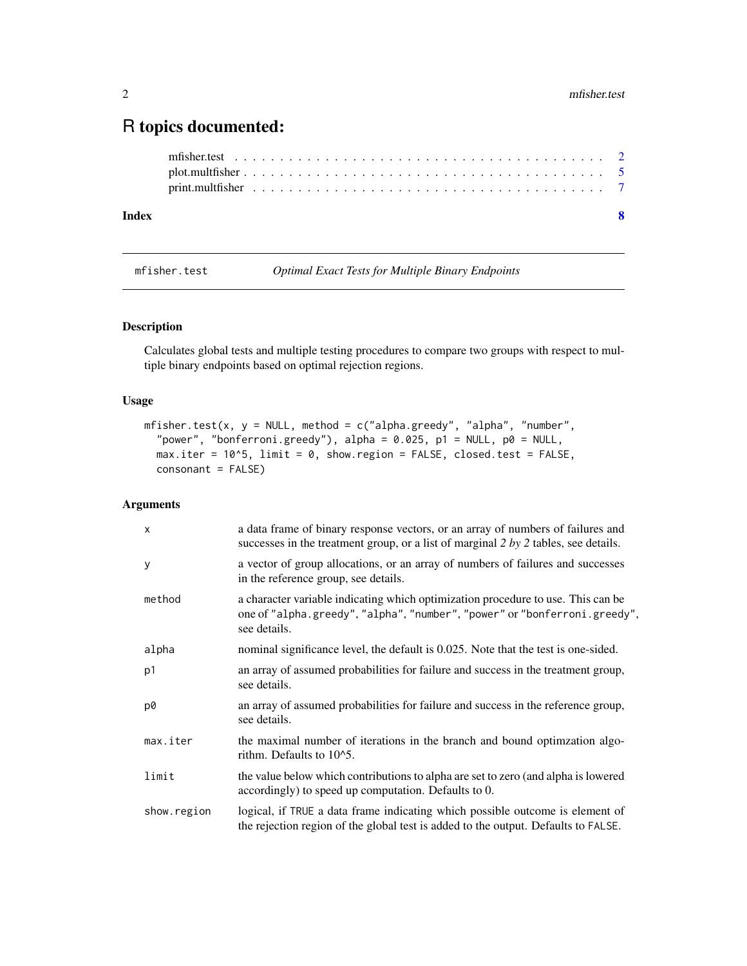### <span id="page-1-0"></span>R topics documented:

| Index |  |  |  |  |  |  |  |  |  |  |  |  |  |  |  |  |  |
|-------|--|--|--|--|--|--|--|--|--|--|--|--|--|--|--|--|--|
|       |  |  |  |  |  |  |  |  |  |  |  |  |  |  |  |  |  |
|       |  |  |  |  |  |  |  |  |  |  |  |  |  |  |  |  |  |
|       |  |  |  |  |  |  |  |  |  |  |  |  |  |  |  |  |  |

<span id="page-1-1"></span>

mfisher.test *Optimal Exact Tests for Multiple Binary Endpoints*

#### Description

Calculates global tests and multiple testing procedures to compare two groups with respect to multiple binary endpoints based on optimal rejection regions.

#### Usage

```
mfisher.test(x, y = NULL, method = c("alpha.greedy", "alpha", "number",
  "power", "bonferroni.greedy"), alpha = 0.025, p1 = NULL, p0 = NULL,
 max.iter = 10^5, limit = 0, show.region = FALSE, closed.test = FALSE,
 consonant = FALSE)
```
#### Arguments

| $\boldsymbol{\mathsf{x}}$ | a data frame of binary response vectors, or an array of numbers of failures and<br>successes in the treatment group, or a list of marginal $2 by 2$ tables, see details.      |
|---------------------------|-------------------------------------------------------------------------------------------------------------------------------------------------------------------------------|
| y                         | a vector of group allocations, or an array of numbers of failures and successes<br>in the reference group, see details.                                                       |
| method                    | a character variable indicating which optimization procedure to use. This can be<br>one of "alpha.greedy", "alpha", "number", "power" or "bonferroni.greedy",<br>see details. |
| alpha                     | nominal significance level, the default is 0.025. Note that the test is one-sided.                                                                                            |
| p1                        | an array of assumed probabilities for failure and success in the treatment group,<br>see details.                                                                             |
| p0                        | an array of assumed probabilities for failure and success in the reference group,<br>see details.                                                                             |
| max.iter                  | the maximal number of iterations in the branch and bound optimization algo-<br>rithm. Defaults to $10^{\circ}5$ .                                                             |
| limit                     | the value below which contributions to alpha are set to zero (and alpha is lowered<br>accordingly) to speed up computation. Defaults to 0.                                    |
| show.region               | logical, if TRUE a data frame indicating which possible outcome is element of<br>the rejection region of the global test is added to the output. Defaults to FALSE.           |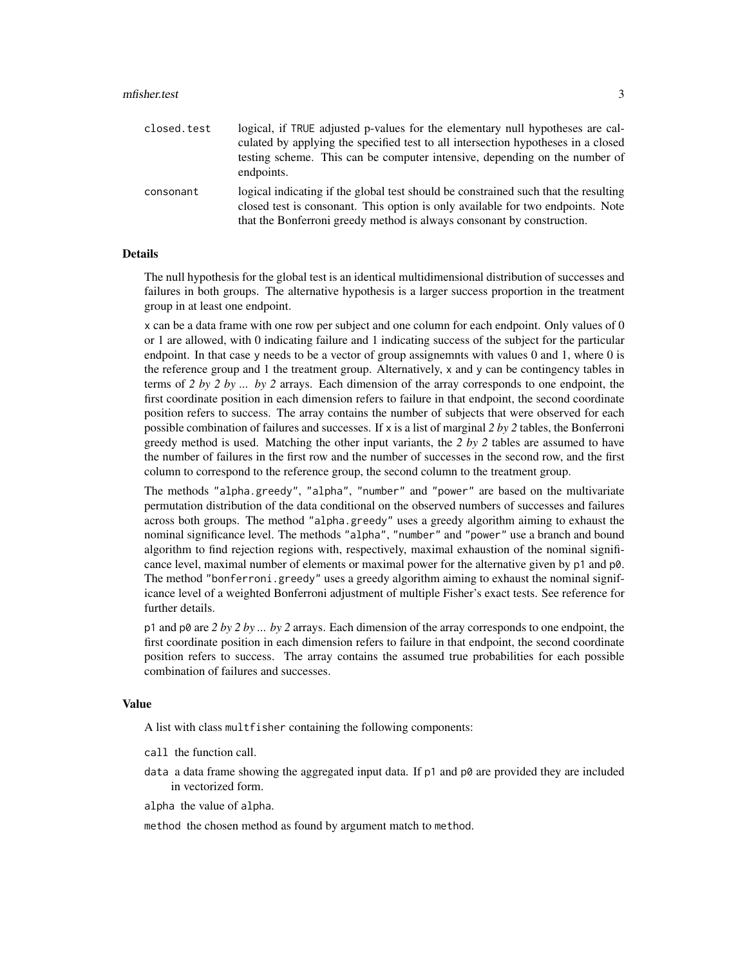#### mfisher.test 3

| closed.test | logical, if TRUE adjusted p-values for the elementary null hypotheses are cal-<br>culated by applying the specified test to all intersection hypotheses in a closed<br>testing scheme. This can be computer intensive, depending on the number of<br>endpoints. |
|-------------|-----------------------------------------------------------------------------------------------------------------------------------------------------------------------------------------------------------------------------------------------------------------|
| consonant   | logical indicating if the global test should be constrained such that the resulting<br>closed test is consonant. This option is only available for two endpoints. Note<br>that the Bonferroni greedy method is always consonant by construction.                |

#### Details

The null hypothesis for the global test is an identical multidimensional distribution of successes and failures in both groups. The alternative hypothesis is a larger success proportion in the treatment group in at least one endpoint.

x can be a data frame with one row per subject and one column for each endpoint. Only values of 0 or 1 are allowed, with 0 indicating failure and 1 indicating success of the subject for the particular endpoint. In that case y needs to be a vector of group assignemnts with values 0 and 1, where 0 is the reference group and 1 the treatment group. Alternatively, x and y can be contingency tables in terms of *2 by 2 by ... by 2* arrays. Each dimension of the array corresponds to one endpoint, the first coordinate position in each dimension refers to failure in that endpoint, the second coordinate position refers to success. The array contains the number of subjects that were observed for each possible combination of failures and successes. If x is a list of marginal *2 by 2* tables, the Bonferroni greedy method is used. Matching the other input variants, the *2 by 2* tables are assumed to have the number of failures in the first row and the number of successes in the second row, and the first column to correspond to the reference group, the second column to the treatment group.

The methods "alpha.greedy", "alpha", "number" and "power" are based on the multivariate permutation distribution of the data conditional on the observed numbers of successes and failures across both groups. The method "alpha.greedy" uses a greedy algorithm aiming to exhaust the nominal significance level. The methods "alpha", "number" and "power" use a branch and bound algorithm to find rejection regions with, respectively, maximal exhaustion of the nominal significance level, maximal number of elements or maximal power for the alternative given by p1 and p0. The method "bonferroni.greedy" uses a greedy algorithm aiming to exhaust the nominal significance level of a weighted Bonferroni adjustment of multiple Fisher's exact tests. See reference for further details.

p1 and p0 are *2 by 2 by ... by 2* arrays. Each dimension of the array corresponds to one endpoint, the first coordinate position in each dimension refers to failure in that endpoint, the second coordinate position refers to success. The array contains the assumed true probabilities for each possible combination of failures and successes.

#### Value

A list with class multfisher containing the following components:

- call the function call.
- data a data frame showing the aggregated input data. If  $p1$  and  $p0$  are provided they are included in vectorized form.

alpha the value of alpha.

method the chosen method as found by argument match to method.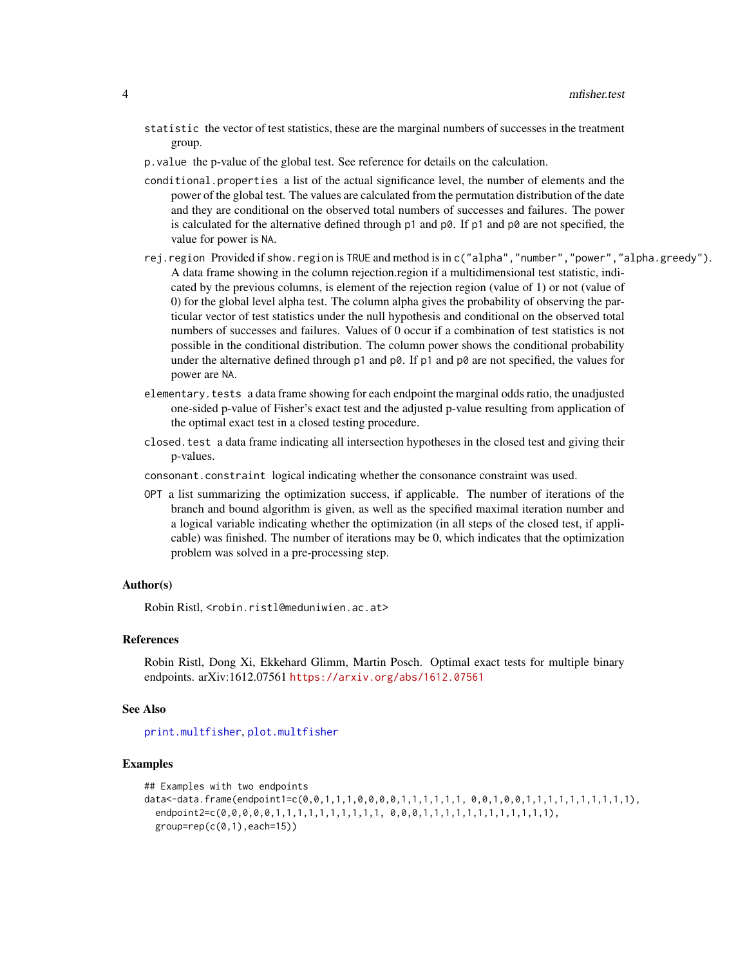- <span id="page-3-0"></span>statistic the vector of test statistics, these are the marginal numbers of successes in the treatment group.
- p.value the p-value of the global test. See reference for details on the calculation.
- conditional.properties a list of the actual significance level, the number of elements and the power of the global test. The values are calculated from the permutation distribution of the date and they are conditional on the observed total numbers of successes and failures. The power is calculated for the alternative defined through  $p1$  and  $p0$ . If  $p1$  and  $p0$  are not specified, the value for power is NA.
- rej.region Provided if show.region is TRUE and method is in c("alpha","number","power","alpha.greedy"). A data frame showing in the column rejection.region if a multidimensional test statistic, indicated by the previous columns, is element of the rejection region (value of 1) or not (value of 0) for the global level alpha test. The column alpha gives the probability of observing the particular vector of test statistics under the null hypothesis and conditional on the observed total numbers of successes and failures. Values of 0 occur if a combination of test statistics is not possible in the conditional distribution. The column power shows the conditional probability under the alternative defined through  $p1$  and  $p0$ . If  $p1$  and  $p0$  are not specified, the values for power are NA.
- elementary.tests a data frame showing for each endpoint the marginal odds ratio, the unadjusted one-sided p-value of Fisher's exact test and the adjusted p-value resulting from application of the optimal exact test in a closed testing procedure.
- closed.test a data frame indicating all intersection hypotheses in the closed test and giving their p-values.
- consonant.constraint logical indicating whether the consonance constraint was used.
- OPT a list summarizing the optimization success, if applicable. The number of iterations of the branch and bound algorithm is given, as well as the specified maximal iteration number and a logical variable indicating whether the optimization (in all steps of the closed test, if applicable) was finished. The number of iterations may be 0, which indicates that the optimization problem was solved in a pre-processing step.

#### Author(s)

Robin Ristl, <robin.ristl@meduniwien.ac.at>

#### References

Robin Ristl, Dong Xi, Ekkehard Glimm, Martin Posch. Optimal exact tests for multiple binary endpoints. arXiv:1612.07561 <https://arxiv.org/abs/1612.07561>

#### See Also

[print.multfisher](#page-6-1), [plot.multfisher](#page-4-1)

#### Examples

```
## Examples with two endpoints
data<-data.frame(endpoint1=c(0,0,1,1,1,0,0,0,0,1,1,1,1,1,1, 0,0,1,0,0,1,1,1,1,1,1,1,1,1,1),
 endpoint2=c(0,0,0,0,0,1,1,1,1,1,1,1,1,1,1, 0,0,0,1,1,1,1,1,1,1,1,1,1,1,1),
 group=rep(c(0,1),each=15))
```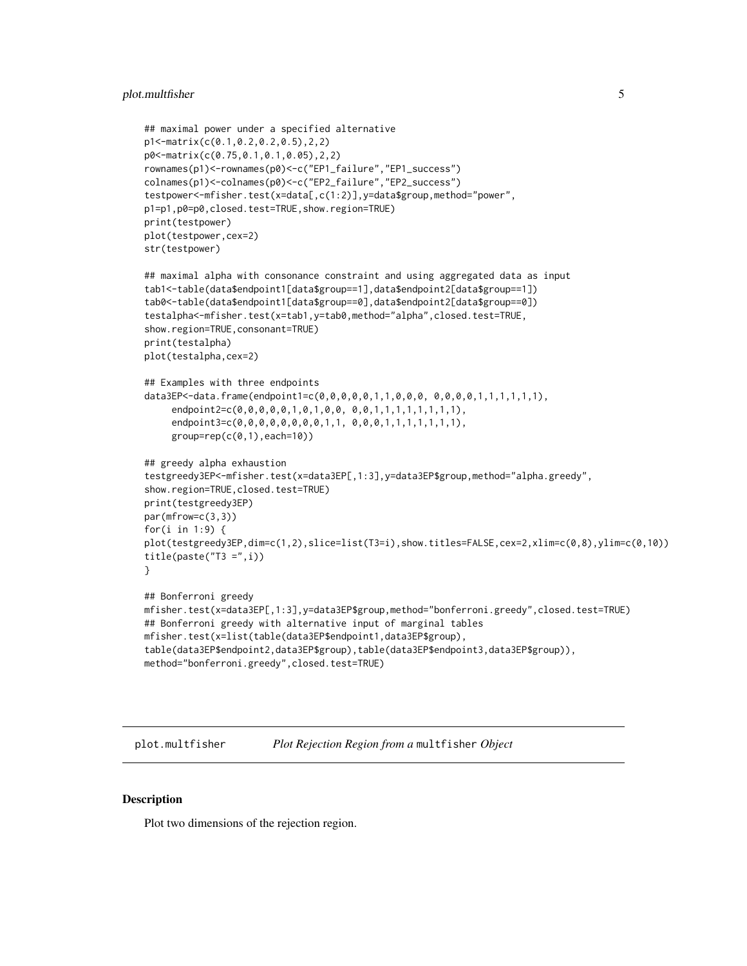#### <span id="page-4-0"></span>plot.multfisher 5

```
## maximal power under a specified alternative
p1<-matrix(c(0.1,0.2,0.2,0.5),2,2)
p0<-matrix(c(0.75,0.1,0.1,0.05),2,2)
rownames(p1)<-rownames(p0)<-c("EP1_failure","EP1_success")
colnames(p1)<-colnames(p0)<-c("EP2_failure","EP2_success")
testpower<-mfisher.test(x=data[,c(1:2)],y=data$group,method="power",
p1=p1,p0=p0,closed.test=TRUE,show.region=TRUE)
print(testpower)
plot(testpower,cex=2)
str(testpower)
## maximal alpha with consonance constraint and using aggregated data as input
tab1<-table(data$endpoint1[data$group==1],data$endpoint2[data$group==1])
tab0<-table(data$endpoint1[data$group==0],data$endpoint2[data$group==0])
testalpha<-mfisher.test(x=tab1,y=tab0,method="alpha",closed.test=TRUE,
show.region=TRUE, consonant=TRUE)
print(testalpha)
plot(testalpha,cex=2)
## Examples with three endpoints
data3EP<-data.frame(endpoint1=c(0,0,0,0,0,1,1,0,0,0, 0,0,0,0,1,1,1,1,1,1),
     endpoint2=c(0,0,0,0,0,1,0,1,0,0, 0,0,1,1,1,1,1,1,1,1),
     endpoint3=c(0,0,0,0,0,0,0,0,1,1, 0,0,0,1,1,1,1,1,1,1),
     group=rep(c(0,1),each=10))
## greedy alpha exhaustion
testgreedy3EP<-mfisher.test(x=data3EP[,1:3],y=data3EP$group,method="alpha.greedy",
show.region=TRUE, closed.test=TRUE)
print(testgreedy3EP)
par(mfrow=c(3,3))
for(i in 1:9) {
plot(testgreedy3EP,dim=c(1,2),slice=list(T3=i),show.titles=FALSE,cex=2,xlim=c(0,8),ylim=c(0,10))
title(paste("T3 = ",i))}
## Bonferroni greedy
mfisher.test(x=data3EP[,1:3],y=data3EP$group,method="bonferroni.greedy",closed.test=TRUE)
## Bonferroni greedy with alternative input of marginal tables
mfisher.test(x=list(table(data3EP$endpoint1,data3EP$group),
table(data3EP$endpoint2,data3EP$group),table(data3EP$endpoint3,data3EP$group)),
method="bonferroni.greedy",closed.test=TRUE)
```
<span id="page-4-1"></span>plot.multfisher *Plot Rejection Region from a* multfisher *Object*

#### Description

Plot two dimensions of the rejection region.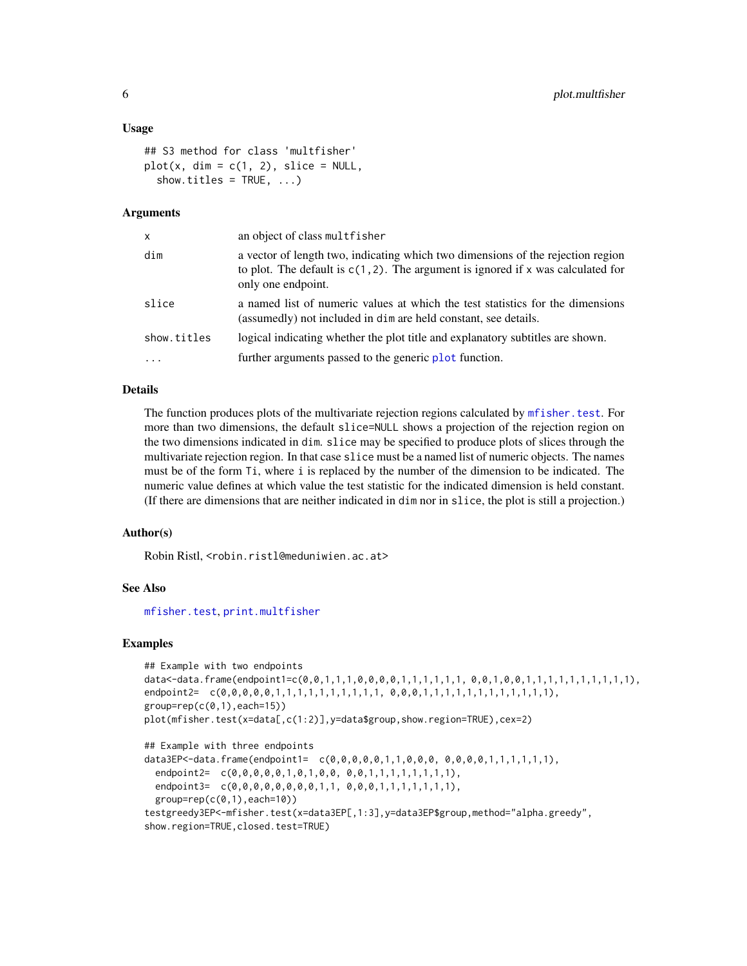#### <span id="page-5-0"></span>Usage

```
## S3 method for class 'multfisher'
plot(x, dim = c(1, 2), slice = NULL,show.titles = TRUE, ...)
```
#### Arguments

| $\mathsf{x}$ | an object of class multfisher                                                                                                                                                                |
|--------------|----------------------------------------------------------------------------------------------------------------------------------------------------------------------------------------------|
| dim          | a vector of length two, indicating which two dimensions of the rejection region<br>to plot. The default is $c(1, 2)$ . The argument is ignored if x was calculated for<br>only one endpoint. |
| slice        | a named list of numeric values at which the test statistics for the dimensions<br>(assumedly) not included in dim are held constant, see details.                                            |
| show.titles  | logical indicating whether the plot title and explanatory subtitles are shown.                                                                                                               |
| $\ddotsc$    | further arguments passed to the generic plot function.                                                                                                                                       |

#### Details

The function produces plots of the multivariate rejection regions calculated by [mfisher.test](#page-1-1). For more than two dimensions, the default slice=NULL shows a projection of the rejection region on the two dimensions indicated in dim. slice may be specified to produce plots of slices through the multivariate rejection region. In that case slice must be a named list of numeric objects. The names must be of the form Ti, where i is replaced by the number of the dimension to be indicated. The numeric value defines at which value the test statistic for the indicated dimension is held constant. (If there are dimensions that are neither indicated in dim nor in slice, the plot is still a projection.)

#### Author(s)

Robin Ristl, <robin.ristl@meduniwien.ac.at>

#### See Also

[mfisher.test](#page-1-1), [print.multfisher](#page-6-1)

#### Examples

```
## Example with two endpoints
data<-data.frame(endpoint1=c(0,0,1,1,1,0,0,0,0,1,1,1,1,1,1, 0,0,1,0,0,1,1,1,1,1,1,1,1,1,1),
endpoint2= c(0,0,0,0,0,1,1,1,1,1,1,1,1,1,1,0,0,0,1,1,1,1,1,1,1,1,1,1,1,1,1,1,1,1,
group=rep(c(0,1),each=15))
plot(mfisher.test(x=data[,c(1:2)],y=data$group,show.region=TRUE),cex=2)
## Example with three endpoints
data3EP<-data.frame(endpoint1= c(0,0,0,0,0,1,1,0,0,0, 0,0,0,0,1,1,1,1,1,1),
 endpoint2= c(0,0,0,0,0,1,0,1,0,0, 0,0,1,1,1,1,1,1,1,1),
 endpoint3= c(0,0,0,0,0,0,0,0,1,1, 0,0,0,1,1,1,1,1,1,1),
 group=rep(c(0,1),each=10))testgreedy3EP<-mfisher.test(x=data3EP[,1:3],y=data3EP$group,method="alpha.greedy",
show.region=TRUE, closed.test=TRUE)
```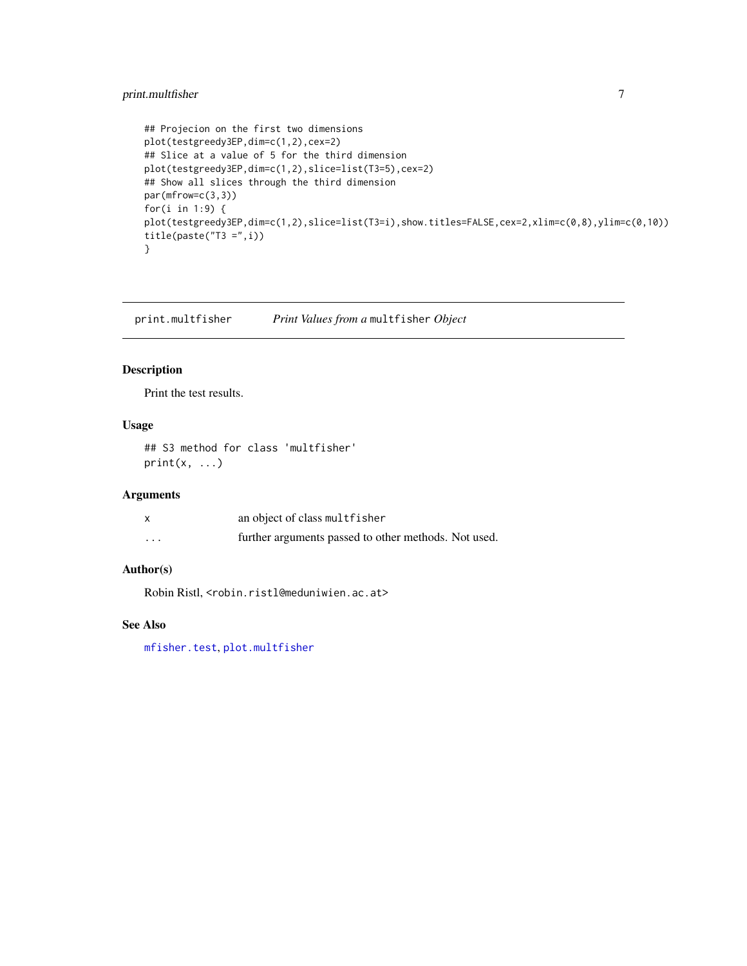#### <span id="page-6-0"></span>print.multfisher 7

```
## Projecion on the first two dimensions
plot(testgreedy3EP,dim=c(1,2),cex=2)
## Slice at a value of 5 for the third dimension
plot(testgreedy3EP,dim=c(1,2),slice=list(T3=5),cex=2)
## Show all slices through the third dimension
par(mfrow=c(3,3))
for(i in 1:9) {
plot(testgreedy3EP,dim=c(1,2),slice=list(T3=i),show.titles=FALSE,cex=2,xlim=c(0,8),ylim=c(0,10))
title(paste("T3 = ",i))}
```
<span id="page-6-1"></span>print.multfisher *Print Values from a* multfisher *Object*

#### Description

Print the test results.

#### Usage

## S3 method for class 'multfisher'  $print(x, \ldots)$ 

#### Arguments

|          | an object of class multfisher                        |
|----------|------------------------------------------------------|
| $\cdots$ | further arguments passed to other methods. Not used. |

#### Author(s)

Robin Ristl, <robin.ristl@meduniwien.ac.at>

#### See Also

[mfisher.test](#page-1-1), [plot.multfisher](#page-4-1)